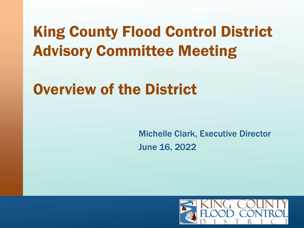# King County Flood Control District Advisory Committee Meeting

### Overview of the District

Michelle Clark, Executive Director June 16, 2022

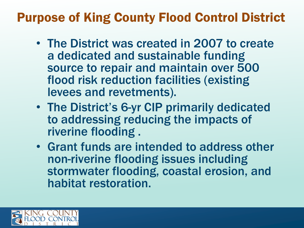#### Purpose of King County Flood Control District

- The District was created in 2007 to create a dedicated and sustainable funding source to repair and maintain over 500 flood risk reduction facilities (existing levees and revetments).
- The District's 6-yr CIP primarily dedicated to addressing reducing the impacts of riverine flooding .
- Grant funds are intended to address other non-riverine flooding issues including stormwater flooding, coastal erosion, and habitat restoration.

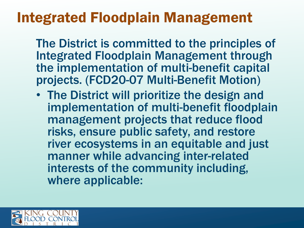### Integrated Floodplain Management

The District is committed to the principles of Integrated Floodplain Management through the implementation of multi-benefit capital projects. (FCD20-07 Multi-Benefit Motion)

• The District will prioritize the design and implementation of multi-benefit floodplain management projects that reduce flood risks, ensure public safety, and restore river ecosystems in an equitable and just manner while advancing inter-related interests of the community including, where applicable:

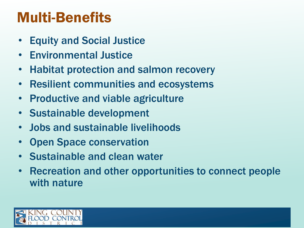### Multi-Benefits

- Equity and Social Justice
- Environmental Justice
- Habitat protection and salmon recovery
- Resilient communities and ecosystems
- Productive and viable agriculture
- Sustainable development
- Jobs and sustainable livelihoods
- Open Space conservation
- Sustainable and clean water
- Recreation and other opportunities to connect people with nature